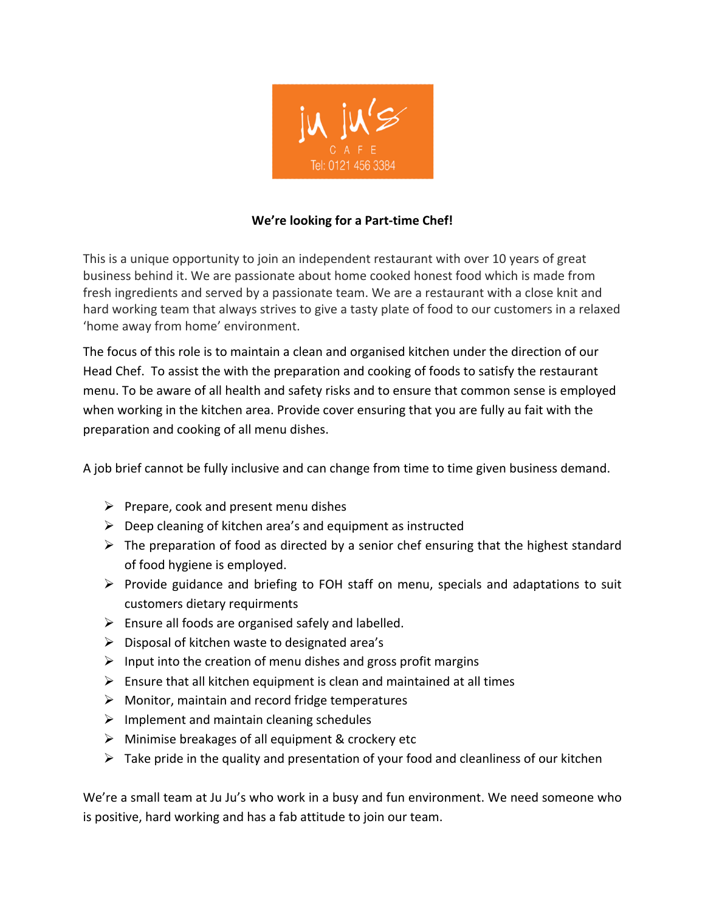

## **We're looking for a Part-time Chef!**

This is a unique opportunity to join an independent restaurant with over 10 years of great business behind it. We are passionate about home cooked honest food which is made from fresh ingredients and served by a passionate team. We are a restaurant with a close knit and hard working team that always strives to give a tasty plate of food to our customers in a relaxed 'home away from home' environment.

The focus of this role is to maintain a clean and organised kitchen under the direction of our Head Chef. To assist the with the preparation and cooking of foods to satisfy the restaurant menu. To be aware of all health and safety risks and to ensure that common sense is employed when working in the kitchen area. Provide cover ensuring that you are fully au fait with the preparation and cooking of all menu dishes.

A job brief cannot be fully inclusive and can change from time to time given business demand.

- $\triangleright$  Prepare, cook and present menu dishes
- $\triangleright$  Deep cleaning of kitchen area's and equipment as instructed
- $\triangleright$  The preparation of food as directed by a senior chef ensuring that the highest standard of food hygiene is employed.
- $\triangleright$  Provide guidance and briefing to FOH staff on menu, specials and adaptations to suit customers dietary requirments
- $\triangleright$  Ensure all foods are organised safely and labelled.
- $\triangleright$  Disposal of kitchen waste to designated area's
- $\triangleright$  Input into the creation of menu dishes and gross profit margins
- $\triangleright$  Ensure that all kitchen equipment is clean and maintained at all times
- $\triangleright$  Monitor, maintain and record fridge temperatures
- $\triangleright$  Implement and maintain cleaning schedules
- $\triangleright$  Minimise breakages of all equipment & crockery etc
- $\triangleright$  Take pride in the quality and presentation of your food and cleanliness of our kitchen

We're a small team at Ju Ju's who work in a busy and fun environment. We need someone who is positive, hard working and has a fab attitude to join our team.